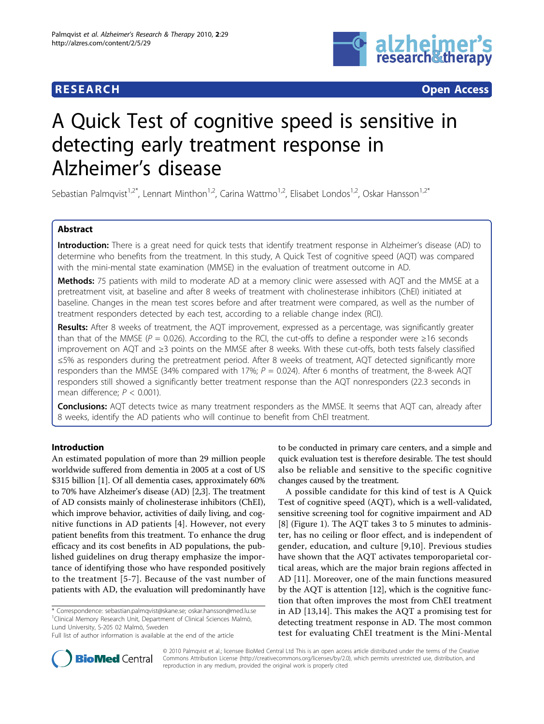

**RESEARCH CONTROL** CONTROL CONTROL CONTROL CONTROL CONTROL CONTROL CONTROL CONTROL CONTROL CONTROL CONTROL CONTROL CONTROL CONTROL CONTROL CONTROL CONTROL CONTROL CONTROL CONTROL CONTROL CONTROL CONTROL CONTROL CONTROL CON

# A Quick Test of cognitive speed is sensitive in detecting early treatment response in Alzheimer's disease

Sebastian Palmqvist<sup>1,2\*</sup>, Lennart Minthon<sup>1,2</sup>, Carina Wattmo<sup>1,2</sup>, Elisabet Londos<sup>1,2</sup>, Oskar Hansson<sup>1,2\*</sup>

# Abstract

Introduction: There is a great need for quick tests that identify treatment response in Alzheimer's disease (AD) to determine who benefits from the treatment. In this study, A Quick Test of cognitive speed (AQT) was compared with the mini-mental state examination (MMSE) in the evaluation of treatment outcome in AD.

Methods: 75 patients with mild to moderate AD at a memory clinic were assessed with AQT and the MMSE at a pretreatment visit, at baseline and after 8 weeks of treatment with cholinesterase inhibitors (ChEI) initiated at baseline. Changes in the mean test scores before and after treatment were compared, as well as the number of treatment responders detected by each test, according to a reliable change index (RCI).

Results: After 8 weeks of treatment, the AQT improvement, expressed as a percentage, was significantly greater than that of the MMSE ( $P = 0.026$ ). According to the RCI, the cut-offs to define a responder were  $\geq 16$  seconds improvement on AQT and ≥3 points on the MMSE after 8 weeks. With these cut-offs, both tests falsely classified ≤5% as responders during the pretreatment period. After 8 weeks of treatment, AQT detected significantly more responders than the MMSE (34% compared with 17%;  $P = 0.024$ ). After 6 months of treatment, the 8-week AQT responders still showed a significantly better treatment response than the AQT nonresponders (22.3 seconds in mean difference;  $P < 0.001$ ).

**Conclusions:** AQT detects twice as many treatment responders as the MMSE. It seems that AQT can, already after 8 weeks, identify the AD patients who will continue to benefit from ChEI treatment.

# Introduction

An estimated population of more than 29 million people worldwide suffered from dementia in 2005 at a cost of US \$315 billion [\[1](#page-7-0)]. Of all dementia cases, approximately 60% to 70% have Alzheimer's disease (AD) [\[2,3\]](#page-7-0). The treatment of AD consists mainly of cholinesterase inhibitors (ChEI), which improve behavior, activities of daily living, and cognitive functions in AD patients [[4\]](#page-7-0). However, not every patient benefits from this treatment. To enhance the drug efficacy and its cost benefits in AD populations, the published guidelines on drug therapy emphasize the importance of identifying those who have responded positively to the treatment [[5](#page-7-0)-[7](#page-7-0)]. Because of the vast number of patients with AD, the evaluation will predominantly have

\* Correspondence: [sebastian.palmqvist@skane.se;](mailto:sebastian.palmqvist@skane.se) [oskar.hansson@med.lu.se](mailto:oskar.hansson@med.lu.se) <sup>1</sup>Clinical Memory Research Unit, Department of Clinical Sciences Malmö, Lund University, S-205 02 Malmö, Sweden

Full list of author information is available at the end of the article

to be conducted in primary care centers, and a simple and quick evaluation test is therefore desirable. The test should also be reliable and sensitive to the specific cognitive changes caused by the treatment.

A possible candidate for this kind of test is A Quick Test of cognitive speed (AQT), which is a well-validated, sensitive screening tool for cognitive impairment and AD [[8\]](#page-7-0) (Figure [1](#page-1-0)). The AQT takes 3 to 5 minutes to administer, has no ceiling or floor effect, and is independent of gender, education, and culture [[9,10](#page-7-0)]. Previous studies have shown that the AQT activates temporoparietal cortical areas, which are the major brain regions affected in AD [[11\]](#page-7-0). Moreover, one of the main functions measured by the AQT is attention [\[12\]](#page-7-0), which is the cognitive function that often improves the most from ChEI treatment in AD [[13,14](#page-7-0)]. This makes the AQT a promising test for detecting treatment response in AD. The most common test for evaluating ChEI treatment is the Mini-Mental



© 2010 Palmqvist et al.; licensee BioMed Central Ltd This is an open access article distributed under the terms of the Creative Commons Attribution License [\(http://creativecommons.org/licenses/by/2.0](http://creativecommons.org/licenses/by/2.0)), which permits unrestricted use, distribution, and reproduction in any medium, provided the original work is properly cited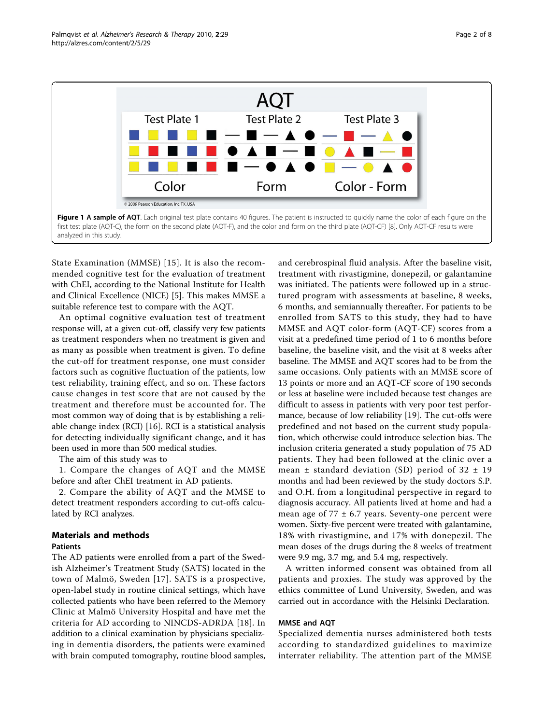<span id="page-1-0"></span>

State Examination (MMSE) [[15](#page-7-0)]. It is also the recommended cognitive test for the evaluation of treatment with ChEI, according to the National Institute for Health and Clinical Excellence (NICE) [\[5\]](#page-7-0). This makes MMSE a suitable reference test to compare with the AQT.

An optimal cognitive evaluation test of treatment response will, at a given cut-off, classify very few patients as treatment responders when no treatment is given and as many as possible when treatment is given. To define the cut-off for treatment response, one must consider factors such as cognitive fluctuation of the patients, low test reliability, training effect, and so on. These factors cause changes in test score that are not caused by the treatment and therefore must be accounted for. The most common way of doing that is by establishing a reliable change index (RCI) [[16\]](#page-7-0). RCI is a statistical analysis for detecting individually significant change, and it has been used in more than 500 medical studies.

The aim of this study was to

1. Compare the changes of AQT and the MMSE before and after ChEI treatment in AD patients.

2. Compare the ability of AQT and the MMSE to detect treatment responders according to cut-offs calculated by RCI analyzes.

# Materials and methods

# Patients

The AD patients were enrolled from a part of the Swedish Alzheimer's Treatment Study (SATS) located in the town of Malmö, Sweden [[17\]](#page-7-0). SATS is a prospective, open-label study in routine clinical settings, which have collected patients who have been referred to the Memory Clinic at Malmö University Hospital and have met the criteria for AD according to NINCDS-ADRDA [[18\]](#page-7-0). In addition to a clinical examination by physicians specializing in dementia disorders, the patients were examined with brain computed tomography, routine blood samples, and cerebrospinal fluid analysis. After the baseline visit, treatment with rivastigmine, donepezil, or galantamine was initiated. The patients were followed up in a structured program with assessments at baseline, 8 weeks, 6 months, and semiannually thereafter. For patients to be enrolled from SATS to this study, they had to have MMSE and AQT color-form (AQT-CF) scores from a visit at a predefined time period of 1 to 6 months before baseline, the baseline visit, and the visit at 8 weeks after baseline. The MMSE and AQT scores had to be from the same occasions. Only patients with an MMSE score of 13 points or more and an AQT-CF score of 190 seconds or less at baseline were included because test changes are difficult to assess in patients with very poor test performance, because of low reliability [\[19](#page-7-0)]. The cut-offs were predefined and not based on the current study population, which otherwise could introduce selection bias. The inclusion criteria generated a study population of 75 AD patients. They had been followed at the clinic over a mean  $\pm$  standard deviation (SD) period of 32  $\pm$  19 months and had been reviewed by the study doctors S.P. and O.H. from a longitudinal perspective in regard to diagnosis accuracy. All patients lived at home and had a mean age of  $77 \pm 6.7$  years. Seventy-one percent were women. Sixty-five percent were treated with galantamine, 18% with rivastigmine, and 17% with donepezil. The mean doses of the drugs during the 8 weeks of treatment were 9.9 mg, 3.7 mg, and 5.4 mg, respectively.

A written informed consent was obtained from all patients and proxies. The study was approved by the ethics committee of Lund University, Sweden, and was carried out in accordance with the Helsinki Declaration.

#### MMSE and AQT

Specialized dementia nurses administered both tests according to standardized guidelines to maximize interrater reliability. The attention part of the MMSE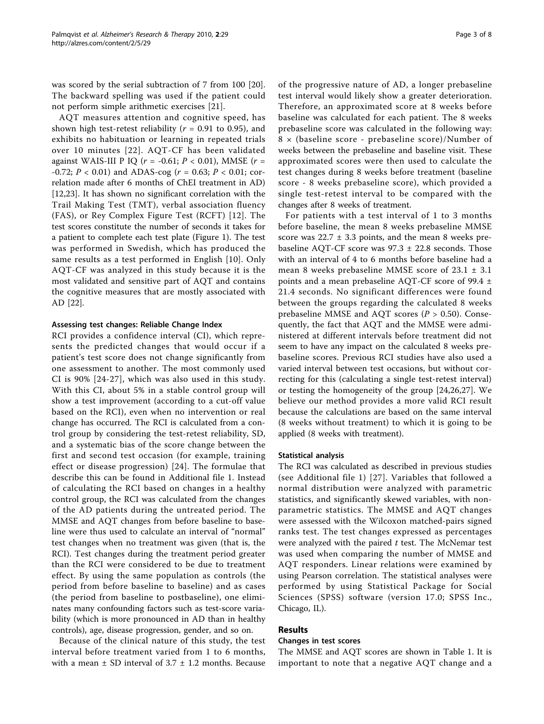was scored by the serial subtraction of 7 from 100 [\[20](#page-7-0)]. The backward spelling was used if the patient could not perform simple arithmetic exercises [\[21](#page-7-0)].

AQT measures attention and cognitive speed, has shown high test-retest reliability ( $r = 0.91$  to 0.95), and exhibits no habituation or learning in repeated trials over 10 minutes [[22\]](#page-7-0). AQT-CF has been validated against WAIS-III P IQ ( $r = -0.61$ ;  $P < 0.01$ ), MMSE ( $r =$  $-0.72$ ;  $P < 0.01$ ) and ADAS-cog ( $r = 0.63$ ;  $P < 0.01$ ; correlation made after 6 months of ChEI treatment in AD) [[12,23\]](#page-7-0). It has shown no significant correlation with the Trail Making Test (TMT), verbal association fluency (FAS), or Rey Complex Figure Test (RCFT) [[12](#page-7-0)]. The test scores constitute the number of seconds it takes for a patient to complete each test plate (Figure [1\)](#page-1-0). The test was performed in Swedish, which has produced the same results as a test performed in English [\[10\]](#page-7-0). Only AQT-CF was analyzed in this study because it is the most validated and sensitive part of AQT and contains the cognitive measures that are mostly associated with AD [\[22\]](#page-7-0).

#### Assessing test changes: Reliable Change Index

RCI provides a confidence interval (CI), which represents the predicted changes that would occur if a patient's test score does not change significantly from one assessment to another. The most commonly used CI is 90% [[24](#page-7-0)-[27\]](#page-7-0), which was also used in this study. With this CI, about 5% in a stable control group will show a test improvement (according to a cut-off value based on the RCI), even when no intervention or real change has occurred. The RCI is calculated from a control group by considering the test-retest reliability, SD, and a systematic bias of the score change between the first and second test occasion (for example, training effect or disease progression) [\[24\]](#page-7-0). The formulae that describe this can be found in Additional file [1](#page-6-0). Instead of calculating the RCI based on changes in a healthy control group, the RCI was calculated from the changes of the AD patients during the untreated period. The MMSE and AQT changes from before baseline to baseline were thus used to calculate an interval of "normal" test changes when no treatment was given (that is, the RCI). Test changes during the treatment period greater than the RCI were considered to be due to treatment effect. By using the same population as controls (the period from before baseline to baseline) and as cases (the period from baseline to postbaseline), one eliminates many confounding factors such as test-score variability (which is more pronounced in AD than in healthy controls), age, disease progression, gender, and so on.

Because of the clinical nature of this study, the test interval before treatment varied from 1 to 6 months, with a mean  $\pm$  SD interval of 3.7  $\pm$  1.2 months. Because of the progressive nature of AD, a longer prebaseline test interval would likely show a greater deterioration. Therefore, an approximated score at 8 weeks before baseline was calculated for each patient. The 8 weeks prebaseline score was calculated in the following way: 8 × (baseline score - prebaseline score)/Number of weeks between the prebaseline and baseline visit. These approximated scores were then used to calculate the test changes during 8 weeks before treatment (baseline score - 8 weeks prebaseline score), which provided a single test-retest interval to be compared with the changes after 8 weeks of treatment.

For patients with a test interval of 1 to 3 months before baseline, the mean 8 weeks prebaseline MMSE score was  $22.7 \pm 3.3$  points, and the mean 8 weeks prebaseline AOT-CF score was  $97.3 \pm 22.8$  seconds. Those with an interval of 4 to 6 months before baseline had a mean 8 weeks prebaseline MMSE score of 23.1 ± 3.1 points and a mean prebaseline AQT-CF score of 99.4 ± 21.4 seconds. No significant differences were found between the groups regarding the calculated 8 weeks prebaseline MMSE and AQT scores ( $P > 0.50$ ). Consequently, the fact that AQT and the MMSE were administered at different intervals before treatment did not seem to have any impact on the calculated 8 weeks prebaseline scores. Previous RCI studies have also used a varied interval between test occasions, but without correcting for this (calculating a single test-retest interval) or testing the homogeneity of the group [[24,26,27](#page-7-0)]. We believe our method provides a more valid RCI result because the calculations are based on the same interval (8 weeks without treatment) to which it is going to be applied (8 weeks with treatment).

#### Statistical analysis

The RCI was calculated as described in previous studies (see Additional file [1\)](#page-6-0) [\[27\]](#page-7-0). Variables that followed a normal distribution were analyzed with parametric statistics, and significantly skewed variables, with nonparametric statistics. The MMSE and AQT changes were assessed with the Wilcoxon matched-pairs signed ranks test. The test changes expressed as percentages were analyzed with the paired  $t$  test. The McNemar test was used when comparing the number of MMSE and AQT responders. Linear relations were examined by using Pearson correlation. The statistical analyses were performed by using Statistical Package for Social Sciences (SPSS) software (version 17.0; SPSS Inc., Chicago, IL).

# Results

# Changes in test scores

The MMSE and AQT scores are shown in Table [1.](#page-3-0) It is important to note that a negative AQT change and a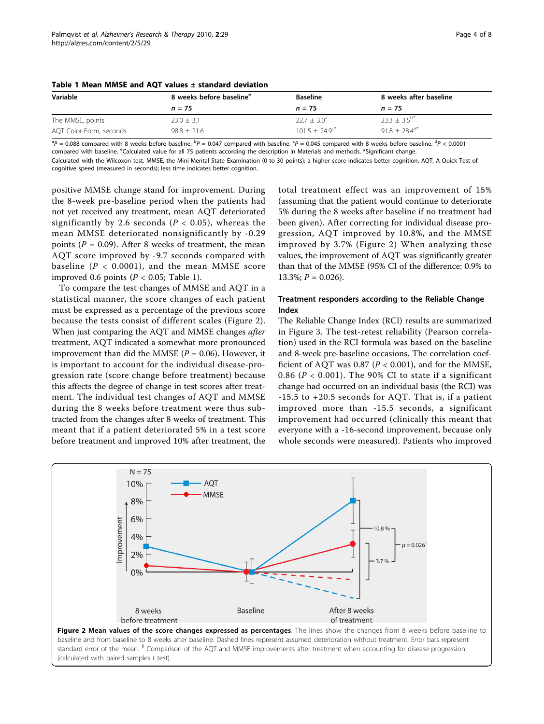| Variable                | 8 weeks before baseline <sup>e</sup> | <b>Baseline</b>        | 8 weeks after baseline |
|-------------------------|--------------------------------------|------------------------|------------------------|
|                         | $n = 75$                             | $n = 75$               | $n = 75$               |
| The MMSE, points        | $23.0 + 3.1$                         | $22.7 \pm 3.0^{\circ}$ | $23.3 \pm 3.5^{b*}$    |
| AQT Color-Form, seconds | $98.8 \pm 21.6$                      | $101.5 + 24.9^{c*}$    | $91.8 + 28.4^{d*}$     |

<span id="page-3-0"></span>

 ${}^{3}P = 0.088$  compared with 8 weeks before baseline.  ${}^{5}P = 0.047$  compared with baseline.  ${}^{6}P = 0.045$  compared with 8 weeks before baseline.  ${}^{d}P < 0.0001$ compared with baseline. <sup>e</sup>Calculated value for all 75 patients according the description in Materials and methods. \*Significant change.

Calculated with the Wilcoxon test. MMSE, the Mini-Mental State Examination (0 to 30 points); a higher score indicates better cognition. AQT, A Quick Test of cognitive speed (measured in seconds); less time indicates better cognition.

positive MMSE change stand for improvement. During the 8-week pre-baseline period when the patients had not yet received any treatment, mean AQT deteriorated significantly by 2.6 seconds ( $P < 0.05$ ), whereas the mean MMSE deteriorated nonsignificantly by -0.29 points ( $P = 0.09$ ). After 8 weeks of treatment, the mean AQT score improved by -9.7 seconds compared with baseline ( $P < 0.0001$ ), and the mean MMSE score improved 0.6 points ( $P < 0.05$ ; Table 1).

To compare the test changes of MMSE and AQT in a statistical manner, the score changes of each patient must be expressed as a percentage of the previous score because the tests consist of different scales (Figure 2). When just comparing the AQT and MMSE changes after treatment, AQT indicated a somewhat more pronounced improvement than did the MMSE ( $P = 0.06$ ). However, it is important to account for the individual disease-progression rate (score change before treatment) because this affects the degree of change in test scores after treatment. The individual test changes of AQT and MMSE during the 8 weeks before treatment were thus subtracted from the changes after 8 weeks of treatment. This meant that if a patient deteriorated 5% in a test score before treatment and improved 10% after treatment, the

total treatment effect was an improvement of 15% (assuming that the patient would continue to deteriorate 5% during the 8 weeks after baseline if no treatment had been given). After correcting for individual disease progression, AQT improved by 10.8%, and the MMSE improved by 3.7% (Figure 2) When analyzing these values, the improvement of AQT was significantly greater than that of the MMSE (95% CI of the difference: 0.9% to  $13.3\%; P = 0.026$ .

# Treatment responders according to the Reliable Change Index

The Reliable Change Index (RCI) results are summarized in Figure [3](#page-4-0). The test-retest reliability (Pearson correlation) used in the RCI formula was based on the baseline and 8-week pre-baseline occasions. The correlation coefficient of AQT was 0.87 ( $P < 0.001$ ), and for the MMSE, 0.86 ( $P < 0.001$ ). The 90% CI to state if a significant change had occurred on an individual basis (the RCI) was -15.5 to +20.5 seconds for AQT. That is, if a patient improved more than -15.5 seconds, a significant improvement had occurred (clinically this meant that everyone with a -16-second improvement, because only whole seconds were measured). Patients who improved



standard error of the mean. <sup>1</sup> Comparison of the AQT and MMSE improvements after treatment when accounting for disease progression (calculated with paired samples  $t$  test).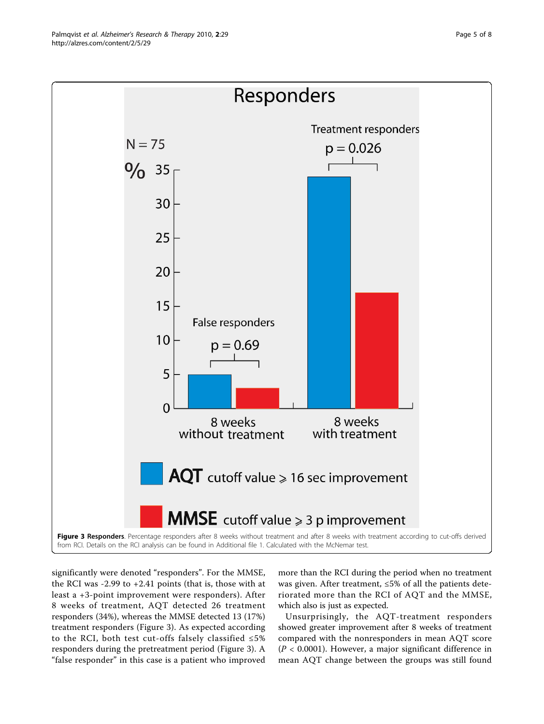<span id="page-4-0"></span>

significantly were denoted "responders". For the MMSE, the RCI was -2.99 to +2.41 points (that is, those with at least a +3-point improvement were responders). After 8 weeks of treatment, AQT detected 26 treatment responders (34%), whereas the MMSE detected 13 (17%) treatment responders (Figure 3). As expected according to the RCI, both test cut-offs falsely classified  $\leq 5\%$ responders during the pretreatment period (Figure 3). A "false responder" in this case is a patient who improved

more than the RCI during the period when no treatment was given. After treatment, ≤5% of all the patients deteriorated more than the RCI of AQT and the MMSE, which also is just as expected.

Unsurprisingly, the AQT-treatment responders showed greater improvement after 8 weeks of treatment compared with the nonresponders in mean AQT score  $(P < 0.0001)$ . However, a major significant difference in mean AQT change between the groups was still found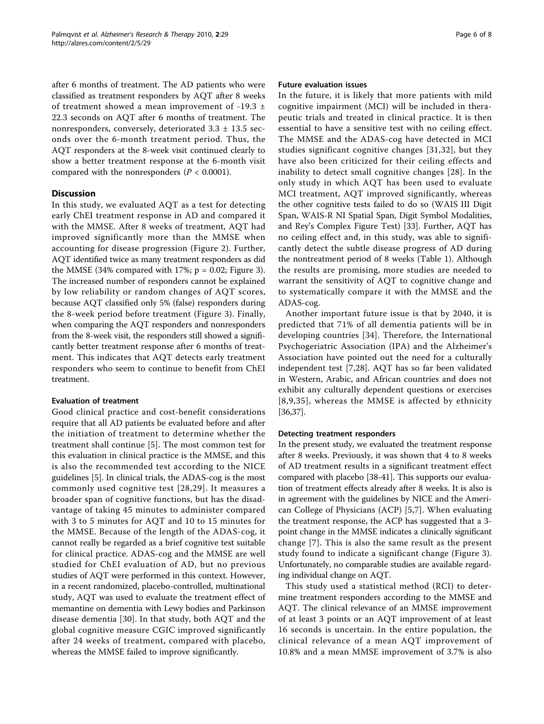after 6 months of treatment. The AD patients who were classified as treatment responders by AQT after 8 weeks of treatment showed a mean improvement of -19.3 ± 22.3 seconds on AQT after 6 months of treatment. The nonresponders, conversely, deteriorated 3.3 ± 13.5 seconds over the 6-month treatment period. Thus, the AQT responders at the 8-week visit continued clearly to show a better treatment response at the 6-month visit compared with the nonresponders ( $P < 0.0001$ ).

# **Discussion**

In this study, we evaluated AQT as a test for detecting early ChEI treatment response in AD and compared it with the MMSE. After 8 weeks of treatment, AQT had improved significantly more than the MMSE when accounting for disease progression (Figure [2](#page-3-0)). Further, AQT identified twice as many treatment responders as did the MMSE (34% compared with 17%;  $p = 0.02$ ; Figure [3](#page-4-0)). The increased number of responders cannot be explained by low reliability or random changes of AQT scores, because AQT classified only 5% (false) responders during the 8-week period before treatment (Figure [3](#page-4-0)). Finally, when comparing the AQT responders and nonresponders from the 8-week visit, the responders still showed a significantly better treatment response after 6 months of treatment. This indicates that AQT detects early treatment responders who seem to continue to benefit from ChEI treatment.

## Evaluation of treatment

Good clinical practice and cost-benefit considerations require that all AD patients be evaluated before and after the initiation of treatment to determine whether the treatment shall continue [[5\]](#page-7-0). The most common test for this evaluation in clinical practice is the MMSE, and this is also the recommended test according to the NICE guidelines [\[5](#page-7-0)]. In clinical trials, the ADAS-cog is the most commonly used cognitive test [[28](#page-7-0),[29](#page-7-0)]. It measures a broader span of cognitive functions, but has the disadvantage of taking 45 minutes to administer compared with 3 to 5 minutes for AQT and 10 to 15 minutes for the MMSE. Because of the length of the ADAS-cog, it cannot really be regarded as a brief cognitive test suitable for clinical practice. ADAS-cog and the MMSE are well studied for ChEI evaluation of AD, but no previous studies of AQT were performed in this context. However, in a recent randomized, placebo-controlled, multinational study, AQT was used to evaluate the treatment effect of memantine on dementia with Lewy bodies and Parkinson disease dementia [\[30](#page-7-0)]. In that study, both AQT and the global cognitive measure CGIC improved significantly after 24 weeks of treatment, compared with placebo, whereas the MMSE failed to improve significantly.

#### Future evaluation issues

In the future, it is likely that more patients with mild cognitive impairment (MCI) will be included in therapeutic trials and treated in clinical practice. It is then essential to have a sensitive test with no ceiling effect. The MMSE and the ADAS-cog have detected in MCI studies significant cognitive changes [[31,32](#page-7-0)], but they have also been criticized for their ceiling effects and inability to detect small cognitive changes [[28](#page-7-0)]. In the only study in which AQT has been used to evaluate MCI treatment, AQT improved significantly, whereas the other cognitive tests failed to do so (WAIS III Digit Span, WAIS-R NI Spatial Span, Digit Symbol Modalities, and Rey's Complex Figure Test) [\[33](#page-7-0)]. Further, AQT has no ceiling effect and, in this study, was able to significantly detect the subtle disease progress of AD during the nontreatment period of 8 weeks (Table [1](#page-3-0)). Although the results are promising, more studies are needed to warrant the sensitivity of AQT to cognitive change and to systematically compare it with the MMSE and the ADAS-cog.

Another important future issue is that by 2040, it is predicted that 71% of all dementia patients will be in developing countries [[34](#page-7-0)]. Therefore, the International Psychogeriatric Association (IPA) and the Alzheimer's Association have pointed out the need for a culturally independent test [[7,28](#page-7-0)]. AQT has so far been validated in Western, Arabic, and African countries and does not exhibit any culturally dependent questions or exercises [[8,9,35\]](#page-7-0), whereas the MMSE is affected by ethnicity [[36,37\]](#page-7-0).

#### Detecting treatment responders

In the present study, we evaluated the treatment response after 8 weeks. Previously, it was shown that 4 to 8 weeks of AD treatment results in a significant treatment effect compared with placebo [\[38-41](#page-7-0)]. This supports our evaluation of treatment effects already after 8 weeks. It is also is in agreement with the guidelines by NICE and the American College of Physicians (ACP) [[5,7\]](#page-7-0). When evaluating the treatment response, the ACP has suggested that a 3 point change in the MMSE indicates a clinically significant change [[7\]](#page-7-0). This is also the same result as the present study found to indicate a significant change (Figure [3](#page-4-0)). Unfortunately, no comparable studies are available regarding individual change on AQT.

This study used a statistical method (RCI) to determine treatment responders according to the MMSE and AQT. The clinical relevance of an MMSE improvement of at least 3 points or an AQT improvement of at least 16 seconds is uncertain. In the entire population, the clinical relevance of a mean AQT improvement of 10.8% and a mean MMSE improvement of 3.7% is also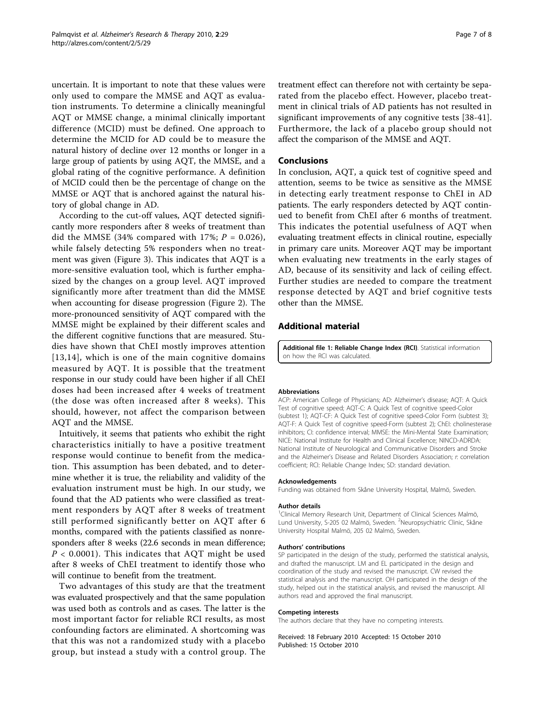<span id="page-6-0"></span>uncertain. It is important to note that these values were only used to compare the MMSE and AQT as evaluation instruments. To determine a clinically meaningful AQT or MMSE change, a minimal clinically important difference (MCID) must be defined. One approach to determine the MCID for AD could be to measure the natural history of decline over 12 months or longer in a large group of patients by using AQT, the MMSE, and a global rating of the cognitive performance. A definition of MCID could then be the percentage of change on the MMSE or AQT that is anchored against the natural history of global change in AD.

According to the cut-off values, AQT detected significantly more responders after 8 weeks of treatment than did the MMSE (34% compared with 17%;  $P = 0.026$ ), while falsely detecting 5% responders when no treatment was given (Figure [3](#page-4-0)). This indicates that AQT is a more-sensitive evaluation tool, which is further emphasized by the changes on a group level. AQT improved significantly more after treatment than did the MMSE when accounting for disease progression (Figure [2\)](#page-3-0). The more-pronounced sensitivity of AQT compared with the MMSE might be explained by their different scales and the different cognitive functions that are measured. Studies have shown that ChEI mostly improves attention [[13,14\]](#page-7-0), which is one of the main cognitive domains measured by AQT. It is possible that the treatment response in our study could have been higher if all ChEI doses had been increased after 4 weeks of treatment (the dose was often increased after 8 weeks). This should, however, not affect the comparison between AQT and the MMSE.

Intuitively, it seems that patients who exhibit the right characteristics initially to have a positive treatment response would continue to benefit from the medication. This assumption has been debated, and to determine whether it is true, the reliability and validity of the evaluation instrument must be high. In our study, we found that the AD patients who were classified as treatment responders by AQT after 8 weeks of treatment still performed significantly better on AQT after 6 months, compared with the patients classified as nonresponders after 8 weeks (22.6 seconds in mean difference;  $P < 0.0001$ ). This indicates that AQT might be used after 8 weeks of ChEI treatment to identify those who will continue to benefit from the treatment.

Two advantages of this study are that the treatment was evaluated prospectively and that the same population was used both as controls and as cases. The latter is the most important factor for reliable RCI results, as most confounding factors are eliminated. A shortcoming was that this was not a randomized study with a placebo group, but instead a study with a control group. The

treatment effect can therefore not with certainty be separated from the placebo effect. However, placebo treatment in clinical trials of AD patients has not resulted in significant improvements of any cognitive tests [\[38](#page-7-0)-[41](#page-7-0)]. Furthermore, the lack of a placebo group should not affect the comparison of the MMSE and AQT.

# Conclusions

In conclusion, AQT, a quick test of cognitive speed and attention, seems to be twice as sensitive as the MMSE in detecting early treatment response to ChEI in AD patients. The early responders detected by AQT continued to benefit from ChEI after 6 months of treatment. This indicates the potential usefulness of AQT when evaluating treatment effects in clinical routine, especially in primary care units. Moreover AQT may be important when evaluating new treatments in the early stages of AD, because of its sensitivity and lack of ceiling effect. Further studies are needed to compare the treatment response detected by AQT and brief cognitive tests other than the MMSE.

# Additional material

[Additional file 1: R](http://www.biomedcentral.com/content/supplementary/alzrt53-S1.DOC)eliable Change Index (RCI). Statistical information on how the RCI was calculated.

#### Abbreviations

ACP: American College of Physicians; AD: Alzheimer's disease; AQT: A Quick Test of cognitive speed; AQT-C: A Quick Test of cognitive speed-Color (subtest 1); AQT-CF: A Quick Test of cognitive speed-Color Form (subtest 3); AQT-F: A Quick Test of cognitive speed-Form (subtest 2); ChEI: cholinesterase inhibitors; CI: confidence interval; MMSE: the Mini-Mental State Examination; NICE: National Institute for Health and Clinical Excellence; NINCD-ADRDA: National Institute of Neurological and Communicative Disorders and Stroke and the Alzheimer's Disease and Related Disorders Association; r. correlation coefficient; RCI: Reliable Change Index; SD: standard deviation.

#### Acknowledgements

Funding was obtained from Skåne University Hospital, Malmö, Sweden.

#### Author details

<sup>1</sup> Clinical Memory Research Unit, Department of Clinical Sciences Malmö Lund University, S-205 02 Malmö, Sweden. <sup>2</sup>Neuropsychiatric Clinic, Skåne University Hospital Malmö, 205 02 Malmö, Sweden.

#### Authors' contributions

SP participated in the design of the study, performed the statistical analysis, and drafted the manuscript. LM and EL participated in the design and coordination of the study and revised the manuscript. CW revised the statistical analysis and the manuscript. OH participated in the design of the study, helped out in the statistical analysis, and revised the manuscript. All authors read and approved the final manuscript.

#### Competing interests

The authors declare that they have no competing interests.

Received: 18 February 2010 Accepted: 15 October 2010 Published: 15 October 2010